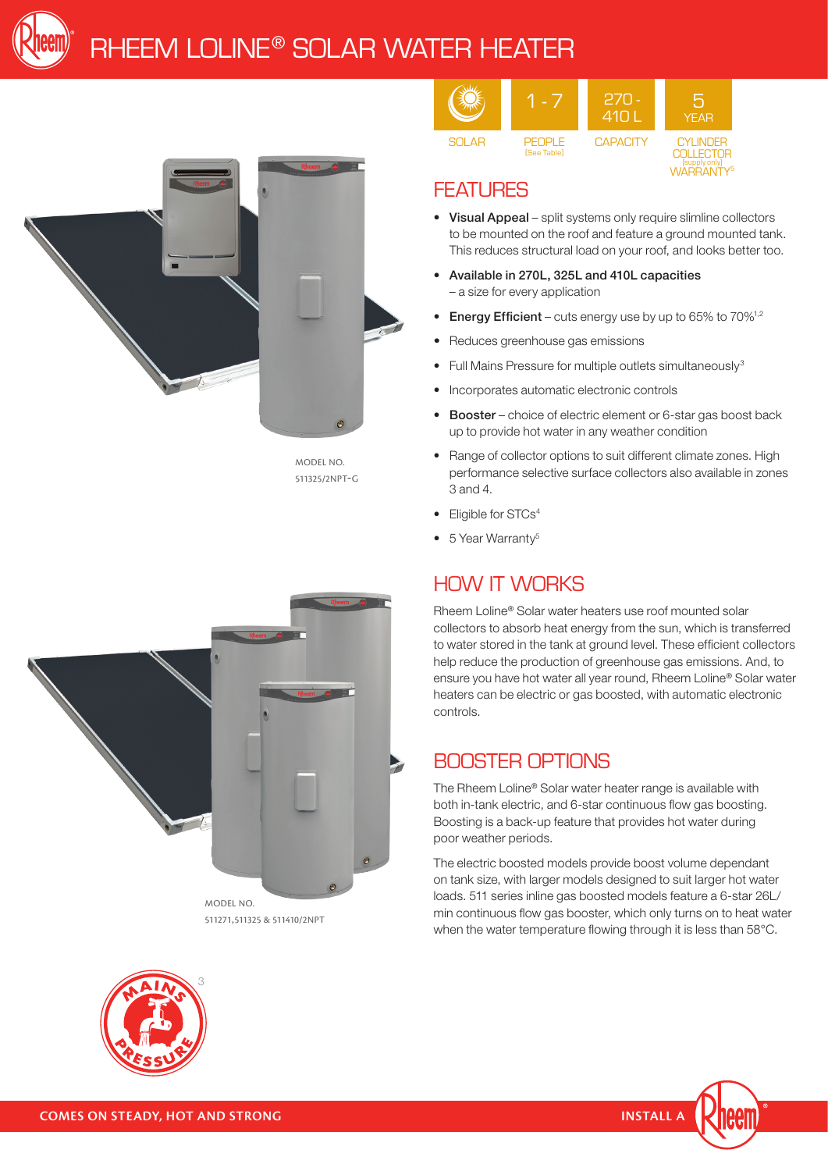



MODEL NO. 511325/2NPT-G



#### **FEATURES**

- Visual Appeal split systems only require slimline collectors to be mounted on the roof and feature a ground mounted tank. This reduces structural load on your roof, and looks better too.
- • Available in 270L, 325L and 410L capacities – a size for every application
- **Energy Efficient** cuts energy use by up to  $65\%$  to  $70\%$ <sup>1,2</sup>
- Reduces greenhouse gas emissions
- Full Mains Pressure for multiple outlets simultaneously<sup>3</sup>
- Incorporates automatic electronic controls
- Booster choice of electric element or 6-star gas boost back up to provide hot water in any weather condition
- Range of collector options to suit different climate zones. High performance selective surface collectors also available in zones 3 and 4.
- Eligible for STCs<sup>4</sup>
- 5 Year Warranty<sup>5</sup>

### HOW IT WORKS

Rheem Loline® Solar water heaters use roof mounted solar collectors to absorb heat energy from the sun, which is transferred to water stored in the tank at ground level. These efficient collectors help reduce the production of greenhouse gas emissions. And, to ensure you have hot water all year round, Rheem Loline® Solar water heaters can be electric or gas boosted, with automatic electronic controls.

#### BOOSTER OPTIONS

The Rheem Loline® Solar water heater range is available with both in-tank electric, and 6-star continuous flow gas boosting. Boosting is a back-up feature that provides hot water during poor weather periods.

The electric boosted models provide boost volume dependant on tank size, with larger models designed to suit larger hot water loads. 511 series inline gas boosted models feature a 6-star 26L/ min continuous flow gas booster, which only turns on to heat water when the water temperature flowing through it is less than 58°C.